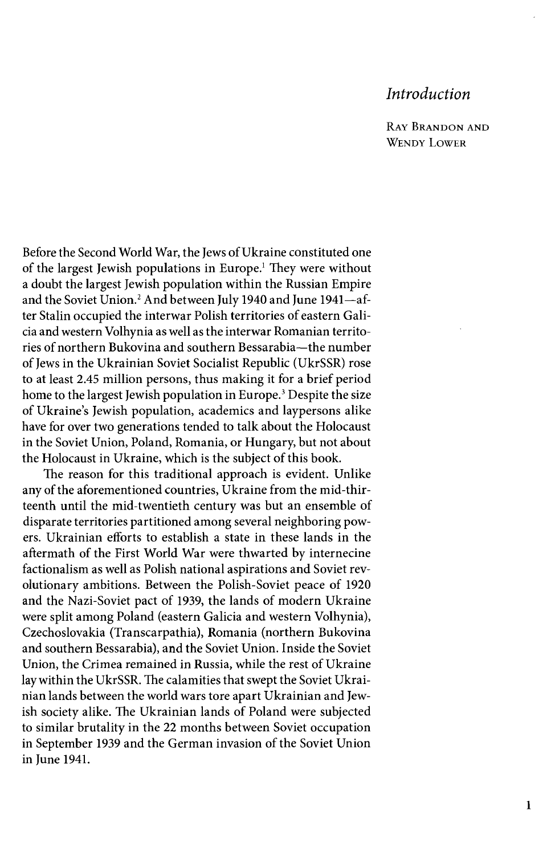## *Introduction*

**RAY BRANDON AND WENDY LOWER** 

Before the Second World War, the Jews of Ukraine constituted one of the largest Jewish populations in Europe.<sup>1</sup> They were without a doubt the largest Jewish population within the Russian Empire and the Soviet Union.<sup>2</sup> And between July 1940 and June 1941—after Stalin occupied the interwar Polish territories of eastern Galicia and western Volhynia as well as the interwar Romanian territories of northern Bukovina and southern Bessarabia—the number of Jews in the Ukrainian Soviet Socialist Republic (UkrSSR) rose to at least 2.45 million persons, thus making it for a brief period home to the largest Jewish population in Europe.<sup>3</sup> Despite the size of Ukraine's Jewish population, academics and laypersons alike have for over two generations tended to talk about the Holocaust in the Soviet Union, Poland, Romania, or Hungary, but not about the Holocaust in Ukraine, which is the subject of this book.

The reason for this traditional approach is evident. Unlike any of the aforementioned countries, Ukraine from the mid-thirteenth until the mid-twentieth century was but an ensemble of disparate territories partitioned among several neighboring powers. Ukrainian efforts to establish a state in these lands in the aftermath of the First World War were thwarted by internecine factionalism as well as Polish national aspirations and Soviet revolutionary ambitions. Between the Polish-Soviet peace of 1920 and the Nazi-Soviet pact of 1939, the lands of modern Ukraine were split among Poland (eastern Galicia and western Volhynia), Czechoslovakia (Transcarpathia), Romania (northern Bukovina and southern Bessarabia), and the Soviet Union. Inside the Soviet Union, the Crimea remained in Russia, while the rest of Ukraine lay within the UkrSSR. The calamities that swept the Soviet Ukrainian lands between the world wars tore apart Ukrainian and Jewish society alike. The Ukrainian lands of Poland were subjected to similar brutality in the 22 months between Soviet occupation in September 1939 and the German invasion of the Soviet Union in June 1941.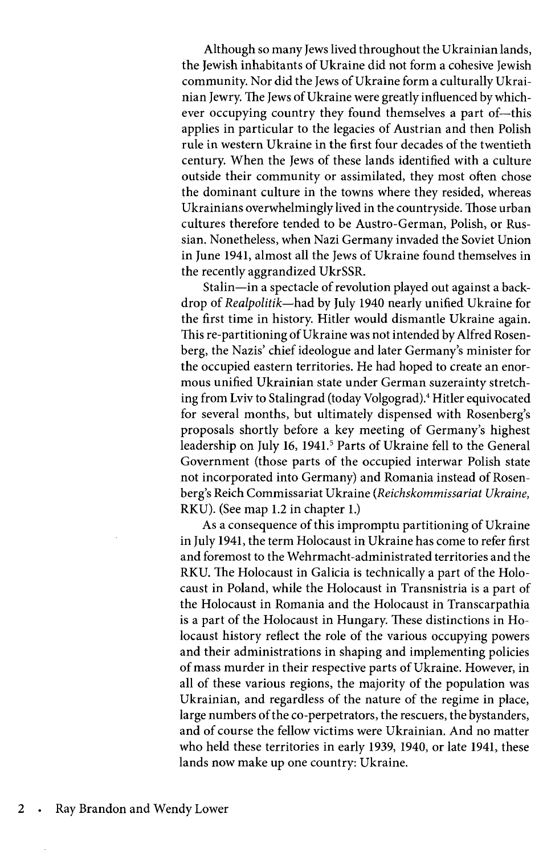Although so many Jews lived throughout the Ukrainian lands, the Jewish inhabitants of Ukraine did not form a cohesive Jewish community. Nor did the Jews of Ukraine form a culturally Ukrainian Jewry. The Jews of Ukraine were greatly influenced by whichever occupying country they found themselves a part of—this applies in particular to the legacies of Austrian and then Polish rule in western Ukraine in the first four decades of the twentieth century. When the Jews of these lands identified with a culture outside their community or assimilated, they most often chose the dominant culture in the towns where they resided, whereas Ukrainians overwhelmingly lived in the countryside. Those urban cultures therefore tended to be Austro-German, Polish, or Russian. Nonetheless, when Nazi Germany invaded the Soviet Union in June 1941, almost all the Jews of Ukraine found themselves in the recently aggrandized UkrSSR.

Stalin—in a spectacle of revolution played out against a backdrop of *Realpolitik*—had by July 1940 nearly unified Ukraine for the first time in history. Hitler would dismantle Ukraine again. This re-partitioning of Ukraine was not intended by Alfred Rosenberg, the Nazis' chief ideologue and later Germany's minister for the occupied eastern territories. He had hoped to create an enormous unified Ukrainian state under German suzerainty stretching from Lviv to Stalingrad (today Volgograd).4 Hitler equivocated for several months, but ultimately dispensed with Rosenberg's proposals shortly before a key meeting of Germany's highest leadership on July 16, 1941.<sup>5</sup> Parts of Ukraine fell to the General Government (those parts of the occupied interwar Polish state not incorporated into Germany) and Romania instead of Rosenberg's Reich Commissariat Ukraine *(Reichskommissariat Ukraine,* RKU). (See map 1.2 in chapter 1.)

As a consequence of this impromptu partitioning of Ukraine in July 1941, the term Holocaust in Ukraine has come to refer first and foremost to the Wehrmacht-administrated territories and the RKU. The Holocaust in Galicia is technically a part of the Holocaust in Poland, while the Holocaust in Transnistria is a part of the Holocaust in Romania and the Holocaust in Transcarpathia is a part of the Holocaust in Hungary. These distinctions in Holocaust history reflect the role of the various occupying powers and their administrations in shaping and implementing policies of mass murder in their respective parts of Ukraine. However, in all of these various regions, the majority of the population was Ukrainian, and regardless of the nature of the regime in place, large numbers of the co-perpetrators, the rescuers, the bystanders, and of course the fellow victims were Ukrainian. And no matter who held these territories in early 1939, 1940, or late 1941, these lands now make up one country: Ukraine.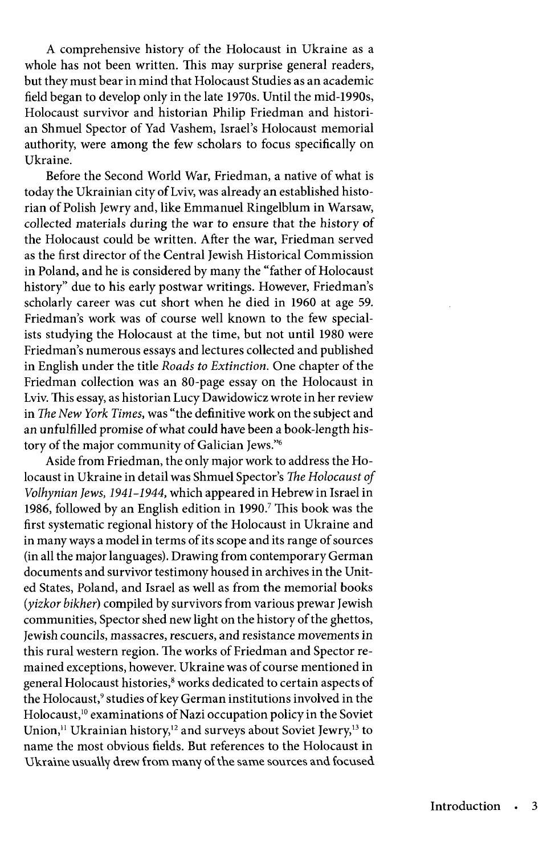A comprehensive history of the Holocaust in Ukraine as a whole has not been written. This may surprise general readers, but they must bear in mind that Holocaust Studies as an academic field began to develop only in the late 1970s. Until the mid-1990s, Holocaust survivor and historian Philip Friedman and historian Shmuel Spector of Yad Vashem, Israel's Holocaust memorial authority, were among the few scholars to focus specifically on Ukraine.

Before the Second World War, Friedman, a native of what is today the Ukrainian city of Lviv, was already an established historian of Polish Jewry and, like Emmanuel Ringelblum in Warsaw, collected materials during the war to ensure that the history of the Holocaust could be written. After the war, Friedman served as the first director of the Central Jewish Historical Commission in Poland, and he is considered by many the "father of Holocaust history" due to his early postwar writings. However, Friedman's scholarly career was cut short when he died in 1960 at age 59. Friedman's work was of course well known to the few specialists studying the Holocaust at the time, but not until 1980 were Friedman's numerous essays and lectures collected and published in English under the title *Roads to Extinction.* One chapter of the Friedman collection was an 80-page essay on the Holocaust in Lviv. This essay, as historian Lucy Dawidowicz wrote in her review in *The New York Times,* was "the definitive work on the subject and an unfulfilled promise of what could have been a book-length history of the major community of Galician Jews."6

Aside from Friedman, the only major work to address the Holocaust in Ukraine in detail was Shmuel Spector*'s The Holocaust of Volhynian Jews, 1941-1944,* which appeared in Hebrew in Israel in 1986, followed by an English edition in 1990.<sup>7</sup> This book was the first systematic regional history of the Holocaust in Ukraine and in many ways a model in terms of its scope and its range of sources (in all the major languages). Drawing from contemporary German documents and survivor testimony housed in archives in the United States, Poland, and Israel as well as from the memorial books *{yizkor bikher)* compiled by survivors from various prewar Jewish communities, Spector shed new light on the history of the ghettos, Jewish councils, massacres, rescuers, and resistance movements in this rural western region. The works of Friedman and Spector remained exceptions, however. Ukraine was of course mentioned in general Holocaust histories,<sup>8</sup> works dedicated to certain aspects of the Holocaust,<sup>9</sup> studies of key German institutions involved in the Holocaust,10 examinations of Nazi occupation policy in the Soviet Union, $^{11}$  Ukrainian history, $^{12}$  and surveys about Soviet Jewry, $^{13}$  to name the most obvious fields. But references to the Holocaust in Ukraine usually drew from many of the same sources and focused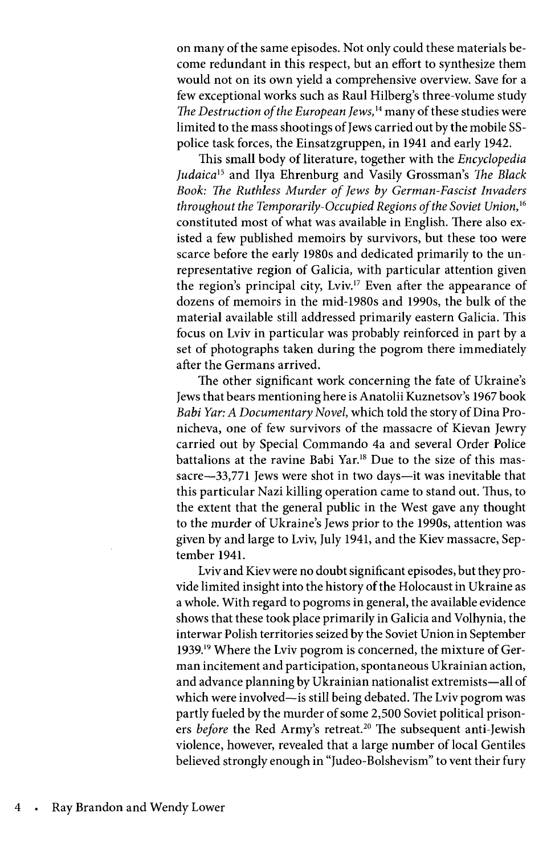on many of the same episodes. Not only could these materials become redundant in this respect, but an effort to synthesize them would not on its own yield a comprehensive overview. Save for a few exceptional works such as Raul Hilberg's three-volume study *The Destruction of the European Jews*,<sup>14</sup> many of these studies were limited to the mass shootings of Jews carried out by the mobile SSpolice task forces, the Einsatzgruppen, in 1941 and early 1942.

This small body of literature, together with the *Encyclopedia Judaica*15 and Ilya Ehrenburg and Vasily Grossman's *The Black* Book: The Ruthless Murder of Jews by German-Fascist Invaders *throughout the Temporarily-Occupied Regions of the Soviet Union*,<sup>16</sup> constituted most of what was available in English. There also existed a few published memoirs by survivors, but these too were scarce before the early 1980s and dedicated primarily to the unrepresentative region of Galicia, with particular attention given the region's principal city, Lviv.<sup>17</sup> Even after the appearance of dozens of memoirs in the mid-1980s and 1990s, the bulk of the material available still addressed primarily eastern Galicia. This focus on Lviv in particular was probably reinforced in part by a set of photographs taken during the pogrom there immediately after the Germans arrived.

The other significant work concerning the fate of Ukraine's Jews that bears mentioning here is Anatolii Kuznetsov's 1967 book *Babi Yar: A Documentary Novel,* which told the story of Dina Pronicheva, one of few survivors of the massacre of Kievan Jewry carried out by Special Commando 4a and several Order Police battalions at the ravine Babi Yar.<sup>18</sup> Due to the size of this massacre—33,771 Jews were shot in two days—it was inevitable that this particular Nazi killing operation came to stand out. Thus, to the extent that the general public in the West gave any thought to the murder of Ukraine's Jews prior to the 1990s, attention was given by and large to Lviv, July 1941, and the Kiev massacre, September 1941.

Lviv and Kiev were no doubt significant episodes, but they provide limited insight into the history of the Holocaust in Ukraine as a whole. With regard to pogroms in general, the available evidence shows that these took place primarily in Galicia and Volhynia, the interwar Polish territories seized by the Soviet Union in September 1939.19 Where the Lviv pogrom is concerned, the mixture of German incitement and participation, spontaneous Ukrainian action, and advance planning by Ukrainian nationalist extremists—all of which were involved—is still being debated. The Lviv pogrom was partly fueled by the murder of some 2,500 Soviet political prisoners *before* the Red Army's retreat.<sup>20</sup> The subsequent anti-Jewish violence, however, revealed that a large number of local Gentiles believed strongly enough in "Judeo-Bolshevism" to vent their fury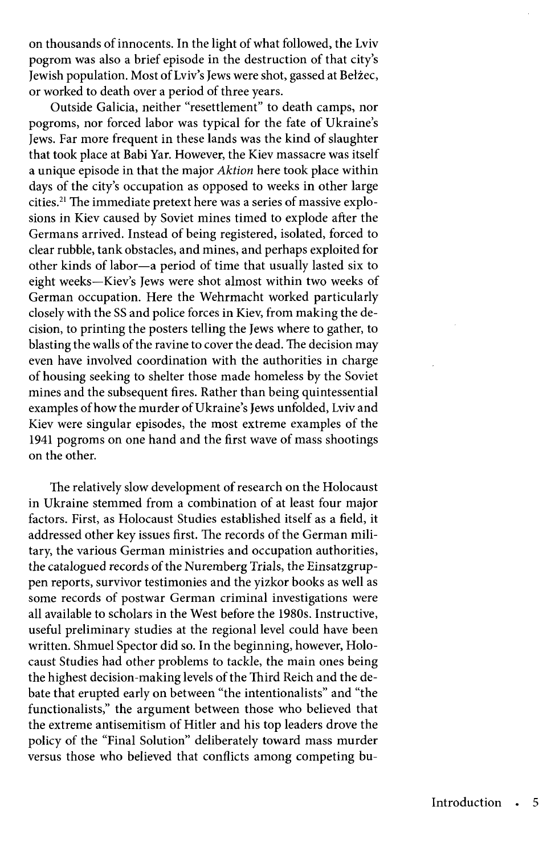on thousands of innocents. In the light of what followed, the Lviv pogrom was also a brief episode in the destruction of that city's Jewish population. Most of Lviv's Jews were shot, gassed at Belzec, or worked to death over a period of three years.

Outside Galicia, neither "resettlement" to death camps, nor pogroms, nor forced labor was typical for the fate of Ukraine's Jews. Far more frequent in these lands was the kind of slaughter that took place at Babi Yar. However, the Kiev massacre was itself a unique episode in that the major *Aktion* here took place within days of the city's occupation as opposed to weeks in other large cities.21 The immediate pretext here was a series of massive explosions in Kiev caused by Soviet mines timed to explode after the Germans arrived. Instead of being registered, isolated, forced to clear rubble, tank obstacles, and mines, and perhaps exploited for other kinds of labor—a period of time that usually lasted six to eight weeks—Kiev's Jews were shot almost within two weeks of German occupation. Here the Wehrmacht worked particularly closely with the SS and police forces in Kiev, from making the decision, to printing the posters telling the Jews where to gather, to blasting the walls of the ravine to cover the dead. The decision may even have involved coordination with the authorities in charge of housing seeking to shelter those made homeless by the Soviet mines and the subsequent fires. Rather than being quintessential examples of how the murder of Ukraine's Jews unfolded, Lviv and Kiev were singular episodes, the most extreme examples of the 1941 pogroms on one hand and the first wave of mass shootings on the other.

The relatively slow development of research on the Holocaust in Ukraine stemmed from a combination of at least four major factors. First, as Holocaust Studies established itself as a field, it addressed other key issues first. The records of the German military, the various German ministries and occupation authorities, the catalogued records of the Nuremberg Trials, the Einsatzgruppen reports, survivor testimonies and the yizkor books as well as some records of postwar German criminal investigations were all available to scholars in the West before the 1980s. Instructive, useful preliminary studies at the regional level could have been written. Shmuel Spector did so. In the beginning, however, Holocaust Studies had other problems to tackle, the main ones being the highest decision-making levels of the Third Reich and the debate that erupted early on between "the intentionalists" and "the functionalists," the argument between those who believed that the extreme antisemitism of Hitler and his top leaders drove the policy of the "Final Solution" deliberately toward mass murder versus those who believed that conflicts among competing bu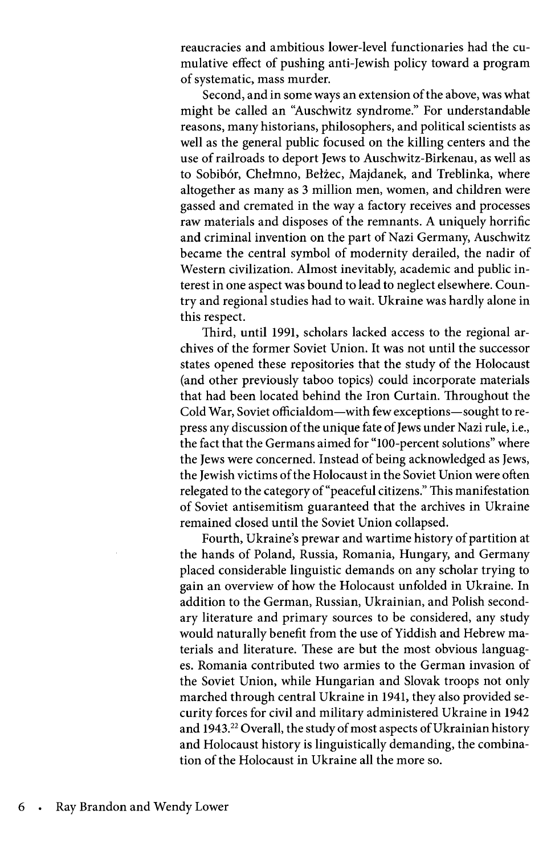reaucracies and ambitious lower-level functionaries had the cumulative effect of pushing anti-Jewish policy toward a program of systematic, mass murder.

Second, and in some ways an extension of the above, was what might be called an "Auschwitz syndrome." For understandable reasons, many historians, philosophers, and political scientists as well as the general public focused on the killing centers and the use of railroads to deport Jews to Auschwitz-Birkenau, as well as to Sobibór, Chełmno, Bełżec, Majdanek, and Treblinka, where altogether as many as 3 million men, women, and children were gassed and cremated in the way a factory receives and processes raw materials and disposes of the remnants. A uniquely horrific and criminal invention on the part of Nazi Germany, Auschwitz became the central symbol of modernity derailed, the nadir of Western civilization. Almost inevitably, academic and public interest in one aspect was bound to lead to neglect elsewhere. Country and regional studies had to wait. Ukraine was hardly alone in this respect.

Third, until 1991, scholars lacked access to the regional archives of the former Soviet Union. It was not until the successor states opened these repositories that the study of the Holocaust (and other previously taboo topics) could incorporate materials that had been located behind the Iron Curtain. Throughout the Cold War, Soviet officialdom—with few exceptions—sought to repress any discussion of the unique fate of Jews under Nazi rule, i.e., the fact that the Germans aimed for "100-percent solutions" where the Jews were concerned. Instead of being acknowledged as Jews, the Jewish victims of the Holocaust in the Soviet Union were often relegated to the category of "peaceful citizens." This manifestation of Soviet antisemitism guaranteed that the archives in Ukraine remained closed until the Soviet Union collapsed.

Fourth, Ukraine's prewar and wartime history of partition at the hands of Poland, Russia, Romania, Hungary, and Germany placed considerable linguistic demands on any scholar trying to gain an overview of how the Holocaust unfolded in Ukraine. In addition to the German, Russian, Ukrainian, and Polish secondary literature and primary sources to be considered, any study would naturally benefit from the use of Yiddish and Hebrew materials and literature. These are but the most obvious languages. Romania contributed two armies to the German invasion of the Soviet Union, while Hungarian and Slovak troops not only marched through central Ukraine in 1941, they also provided security forces for civil and military administered Ukraine in 1942 and 1943.<sup>22</sup> Overall, the study of most aspects of Ukrainian history and Holocaust history is linguistically demanding, the combination of the Holocaust in Ukraine all the more so.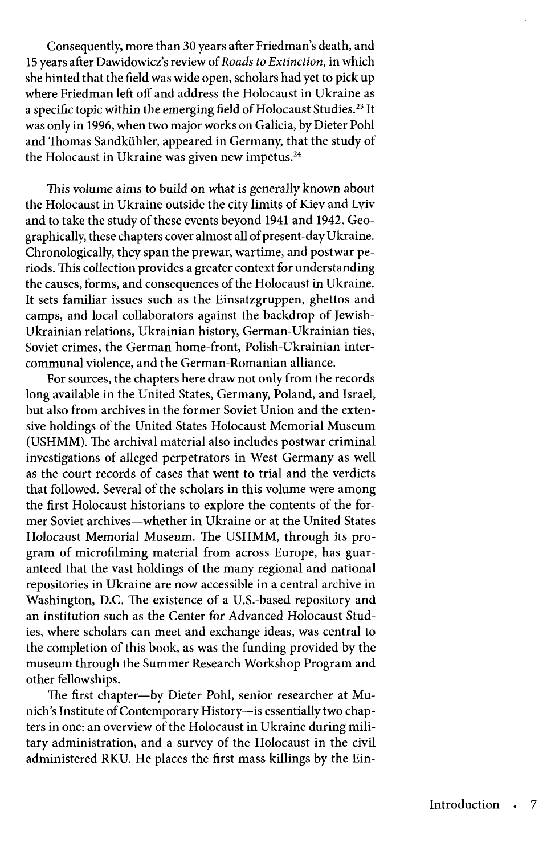Consequently, more than 30 years after Friedman's death, and 15 years after Dawidowicz's review of *Roads to Extinction,* in which she hinted that the field was wide open, scholars had yet to pick up where Friedman left off and address the Holocaust in Ukraine as a specific topic within the emerging field of Holocaust Studies.<sup>23</sup> It was only in 1996, when two major works on Galicia, by Dieter Pohl and Thomas Sandkiihler, appeared in Germany, that the study of the Holocaust in Ukraine was given new impetus.<sup>24</sup>

This volume aims to build on what is generally known about the Holocaust in Ukraine outside the city limits of Kiev and Lviv and to take the study of these events beyond 1941 and 1942. Geographically, these chapters cover almost all of present-day Ukraine. Chronologically, they span the prewar, wartime, and postwar periods. This collection provides a greater context for understanding the causes, forms, and consequences of the Holocaust in Ukraine. It sets familiar issues such as the Einsatzgruppen, ghettos and camps, and local collaborators against the backdrop of Jewish-Ukrainian relations, Ukrainian history, German-Ukrainian ties, Soviet crimes, the German home-front, Polish-Ukrainian intercommunal violence, and the German-Romanian alliance.

For sources, the chapters here draw not only from the records long available in the United States, Germany, Poland, and Israel, but also from archives in the former Soviet Union and the extensive holdings of the United States Holocaust Memorial Museum (USHMM). The archival material also includes postwar criminal investigations of alleged perpetrators in West Germany as well as the court records of cases that went to trial and the verdicts that followed. Several of the scholars in this volume were among the first Holocaust historians to explore the contents of the former Soviet archives—whether in Ukraine or at the United States Holocaust Memorial Museum. The USHMM, through its program of microfilming material from across Europe, has guaranteed that the vast holdings of the many regional and national repositories in Ukraine are now accessible in a central archive in Washington, D.C. The existence of a U.S.-based repository and an institution such as the Center for Advanced Holocaust Studies, where scholars can meet and exchange ideas, was central to the completion of this book, as was the funding provided by the museum through the Summer Research Workshop Program and other fellowships.

The first chapter—by Dieter Pohl, senior researcher at Munich's Institute of Contemporary History—is essentially two chapters in one: an overview of the Holocaust in Ukraine during military administration, and a survey of the Holocaust in the civil administered RKU. He places the first mass killings by the Ein-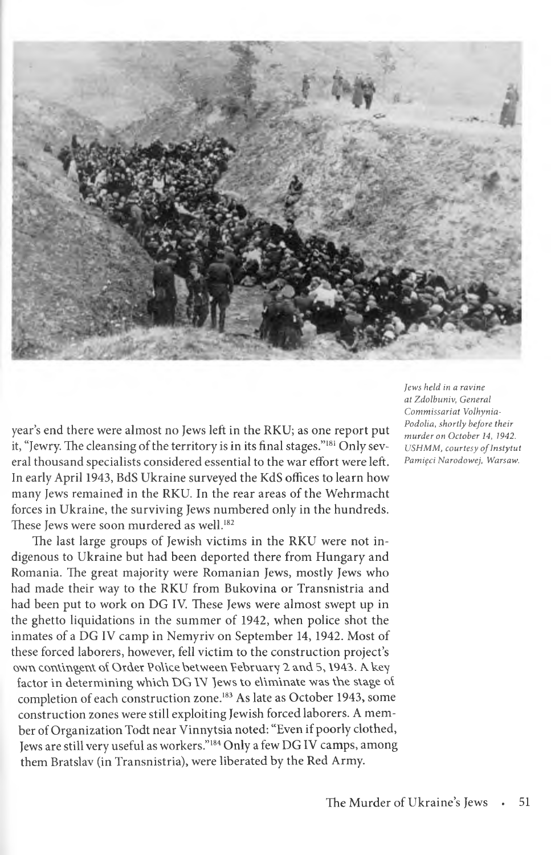

year's end there were almost no Jews left in the RKU; as one report put it, "Jewry. The cleansing of the territory is in its final stages."181 Only several thousand specialists considered essential to the war effort were left. In early April 1943, BdS Ukraine surveyed the KdS offices to learn how many Jews remained in the RKU. In the rear areas of the Wehrmacht forces in Ukraine, the surviving Jews numbered only in the hundreds. These Jews were soon murdered as well.<sup>182</sup>

The last large groups of Jewish victims in the RKU were not indigenous to Ukraine but had been deported there from Hungary and Romania. The great majority were Romanian Jews, mostly Jews who had made their way to the RKU from Bukovina or Transnistria and had been put to work on DG IV. These Jews were almost swept up in the ghetto liquidations in the summer of 1942, when police shot the inmates of a DG IV camp in Nemyriv on September 14, 1942. Most of these forced laborers, however, fell victim to the construction project's own contingent of Order Police between February 2 and 5, 1943. A key factor in determining which DG TV Jews to eliminate was the stage of completion of each construction zone.183 As late as October 1943, some construction zones were still exploiting Jewish forced laborers. A member of Organization Todt near Vinnytsia noted: "Even if poorly clothed, Jews are still very useful as workers."184 Only a few DG IV camps, among them Bratslav (in Transnistria), were liberated by the Red Army.

*Jews held in a ravine at Zdolbuniv, General Commissariat Volhynia-Podolia, shortly before their murder on October 14, 1942.* USHMM, courtesy of Instytut Pamieci Narodowej, Warsaw.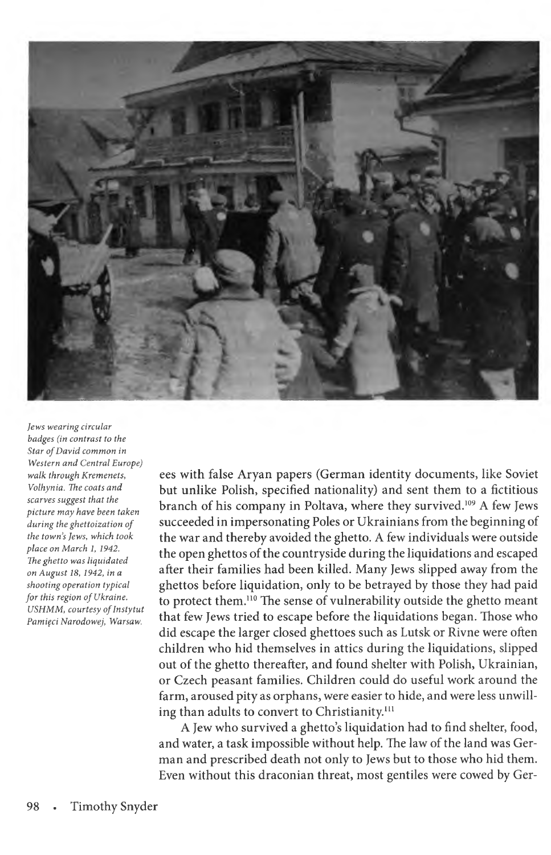

*Jews wearing circular badges (in contrast to the* **Star of David common in** *Western and Central Europe) walk through Kremenets, Volhynia. The coats and scarves suggest that the picture may have been taken* during the ghettoization of *the town's Jews, which took place on March 1, 1942. The ghetto was liquidated on August 18, 1942, in a shooting operation typical for this region of Ukraine. USHMM, courtesy oflnstytut Pami^ci Narodowej, Warsaw.*

ees with false Aryan papers (German identity documents, like Soviet but unlike Polish, specified nationality) and sent them to a fictitious branch of his company in Poltava, where they survived.109 A few Jews succeeded in impersonating Poles or Ukrainians from the beginning of the war and thereby avoided the ghetto. A few individuals were outside the open ghettos of the countryside during the liquidations and escaped after their families had been killed. Many Jews slipped away from the ghettos before liquidation, only to be betrayed by those they had paid to protect them.<sup>110</sup> The sense of vulnerability outside the ghetto meant that few Jews tried to escape before the liquidations began. Those who did escape the larger closed ghettoes such as Lutsk or Rivne were often children who hid themselves in attics during the liquidations, slipped out of the ghetto thereafter, and found shelter with Polish, Ukrainian, or Czech peasant families. Children could do useful work around the farm, aroused pity as orphans, were easier to hide, and were less unwilling than adults to convert to Christianity.<sup>111</sup>

A Jew who survived a ghetto's liquidation had to find shelter, food, and water, a task impossible without help. The law of the land was German and prescribed death not only to Jews but to those who hid them. Even without this draconian threat, most gentiles were cowed by Ger-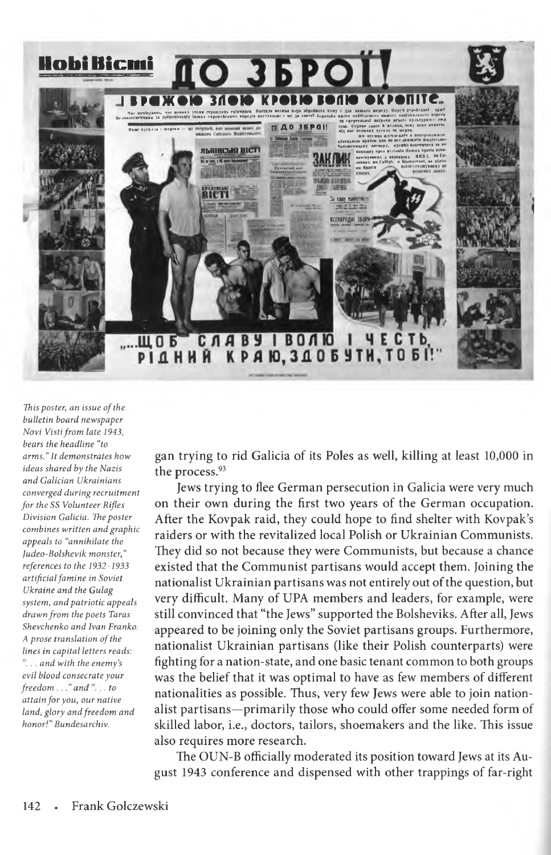

*This poster, an issue of the bulletin board newspaper Novi Visti from late 1943, bears the headline "to arm s." It dem onstrates how ideas shared by the Nazis and Galician Ukrainians converged during recruitment for the SS Volunteer Rifles Division Galicia. The poster combines written and graphic appeals to "annihilate the Judeo-Bolshevik monster," references to the 1932-1933*  $artificial$  famine in Soviet *Ukraine and the Gulag system, and patriotic appeals drawn from the poets Taras Shevchenko and Ivan Franko. A prose translation o f the lines in capital letters reads: .. and with the enem y's evil blood consecrate your freedom .. .'' and .. to attain fo r you, our native land, glory and freedom and honor!" Bundesarchiv.*

gan trying to rid Galicia of its Poles as well, killing at least 10,000 in the process.<sup>93</sup>

Jews trying to flee German persecution in Galicia were very much on their own during the first two years of the German occupation. After the Kovpak raid, they could hope to find shelter with Kovpak's raiders or with the revitalized local Polish or Ukrainian Communists. They did so not because they were Communists, but because a chance existed that the Communist partisans would accept them. Joining the nationalist Ukrainian partisans was not entirely out of the question, but very difficult. Many of UPA members and leaders, for example, were still convinced that "the Jews" supported the Bolsheviks. After all, Jews appeared to be joining only the Soviet partisans groups. Furthermore, nationalist Ukrainian partisans (like their Polish counterparts) were fighting for a nation-state, and one basic tenant common to both groups was the belief that it was optimal to have as few members of different nationalities as possible. Thus, very few Jews were able to join nationalist partisans—primarily those who could offer some needed form of skilled labor, i.e., doctors, tailors, shoemakers and the like. This issue also requires more research.

The OUN-B officially moderated its position toward Jews at its August 1943 conference and dispensed with other trappings of far-right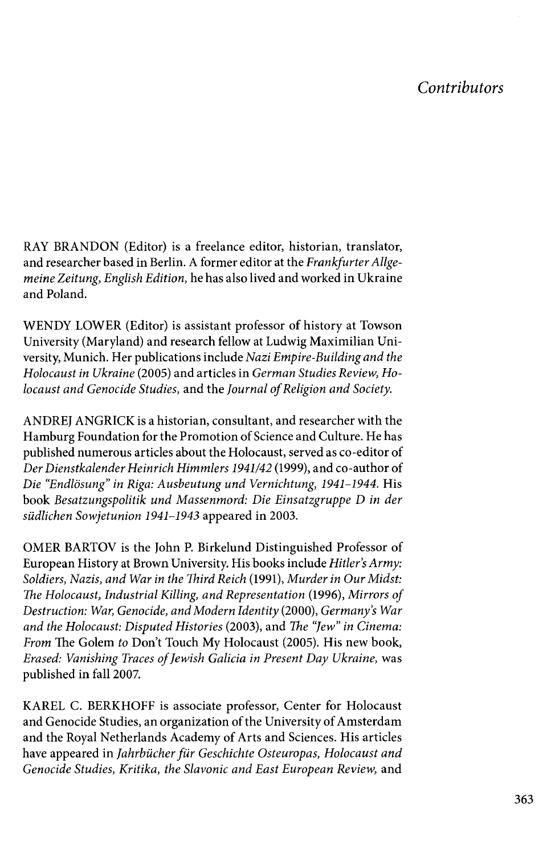## *Contributors*

RAY BRANDON (Editor) is a freelance editor, historian, translator, and researcher based in Berlin. A former editor at the *Frankfurter Allgemeine Zeitung, English Edition,* he has also lived and worked in Ukraine and Poland.

WENDY LOWER (Editor) is assistant professor of history at Towson University (Maryland) and research fellow at Ludwig Maximilian University, Munich. Her publications include *Nazi Empire-Building and the* Holocaust in Ukraine (2005) and articles in *German Studies Review*, Ho*locaust and Genocide Studies, and the Journal of Religion and Society.* 

ANDREJ ANGRICK is a historian, consultant, and researcher with the Hamburg Foundation for the Promotion of Science and Culture. He has published numerous articles about the Holocaust, served as co-editor of *Der Dienstkalender Heinrich Himmlers 1941/42* (1999), and co-author of *Die "Endlösung" in Riga: Ausbeutung und Vernichtung, 1941-1944.* His book *Besatzungspolitik und Massenmord: Die Einsatzgruppe D in der südlichen Sowjetunion 1941-1943* appeared in 2003.

OMER BARTOV is the John P. Birkelund Distinguished Professor of European History at Brown University. His books include *Hitler's Army: Soldiers, Nazis, and War in the Third Reich* (1991), *Murder in Our Midst: The Holocaust, Industrial Killing, and Representation* (1996), *Mirrors of Destruction: War, Genocide, and Modern Identity* (2000), *Germany's War and the Holocaust: Disputed Histories* (2003), and *The "Jew " in Cinema: From* The Golem *to* Don't Touch My Holocaust (2005). His new book, *Erased: Vanishing Traces o f Jewish Galicia in Present Day Ukraine,* was published in fall 2007.

KAREL C. BERKHOFF is associate professor, Center for Holocaust and Genocide Studies, an organization of the University of Amsterdam and the Royal Netherlands Academy of Arts and Sciences. His articles have appeared in *Jahrbücher für Geschichte Osteuropas, Holocaust and Genocide Studies, Kritika, the Slavonic and East European Review,* and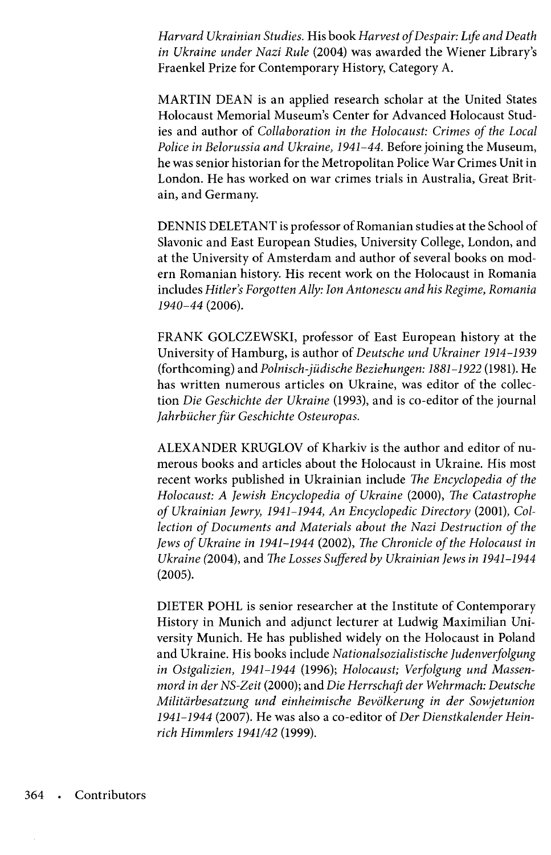*Harvard Ukrainian Studies.* His book *Harvest o f Despair: Life and Death in Ukraine under Nazi Rule* (2004) was awarded the Wiener Library's Fraenkel Prize for Contemporary History, Category A.

MARTIN DEAN is an applied research scholar at the United States Holocaust Memorial Museum's Center for Advanced Holocaust Studies and author of *Collaboration in the Holocaust: Crimes of the Local Police in Belorussia and Ukraine, 1941-44.* Before joining the Museum, he was senior historian for the Metropolitan Police War Crimes Unit in London. He has worked on war crimes trials in Australia, Great Britain, and Germany.

DENNIS DELETANT is professor of Romanian studies at the School of Slavonic and East European Studies, University College, London, and at the University of Amsterdam and author of several books on modern Romanian history. His recent work on the Holocaust in Romania includes *Hitler's Forgotten Ally: Ion Antonescu and his Regime, Romania 1940-44* (2006).

FRANK GOLCZEWSKI, professor of East European history at the University of Hamburg, is author of *Deutsche und Ukrainer 1914-1939* (forthcoming) and *Polnisch-jüdische Beziehungen: 1881-1922* (1981). He has written numerous articles on Ukraine, was editor of the collection *Die Geschichte der Ukraine* (1993), and is co-editor of the journal *Jahrbücher fü r Geschichte Osteuropas.*

ALEXANDER KRUGLOV of Kharkiv is the author and editor of numerous books and articles about the Holocaust in Ukraine. His most recent works published in Ukrainian include *The Encyclopedia of the Holocaust: A Jewish Encyclopedia of Ukraine* (2000), *The Catastrophe* of Ukrainian Jewry, 1941-1944, An Encyclopedic Directory (2001), Collection of Documents and Materials about the Nazi Destruction of the *Jews of Ukraine in 1941-1944 (2002), The Chronicle of the Holocaust in Ukraine* (2004), and *The Losses Suffered by Ukrainian Jews in 1941-1944* (2005).

DIETER POHL is senior researcher at the Institute of Contemporary History in Munich and adjunct lecturer at Ludwig Maximilian University Munich. He has published widely on the Holocaust in Poland and Ukraine. His books include *Nationalsozialistische Judenverfolgung in Ostgalizien, 1941-1944* (1996); *Holocaust; Verfolgung und Massenmord in der NS-Zeit* (2000); and *Die Herrschaft der Wehrmach: Deutsche M ilitärbesatzung und einheim ische Bevölkerung in der Sowjetunion 1941-1944* (2007). He was also a co-editor of *Der Dienstkalender Heinrich Himmlers 1941/42* (1999).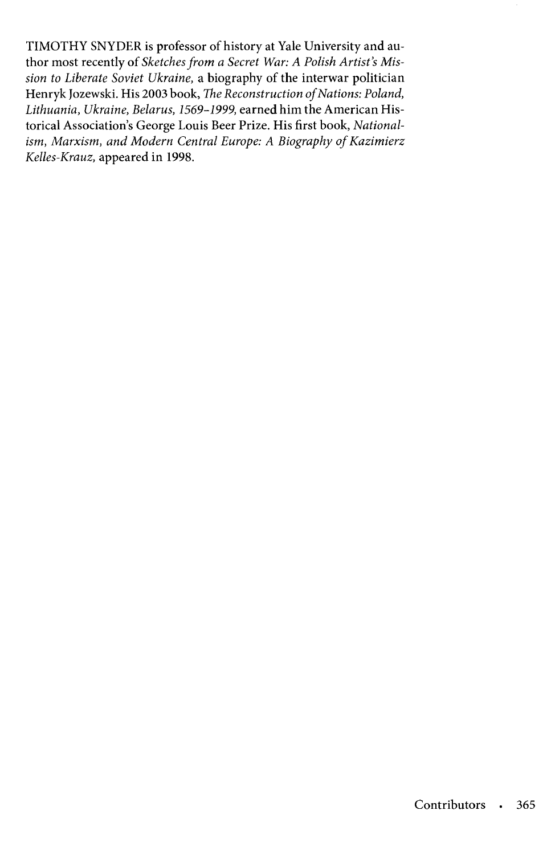TIMOTHY SNYDER is professor of history at Yale University and author most recently of *Sketches from a Secret War: A Polish Artist's Mission to Liberate Soviet Ukraine,* a biography of the interwar politician Henryk Jozewski. His 2003 book, *The Reconstruction of Nations: Poland*, *Lithuania, Ukraine, Belarus, 1569-1999,* earned him the American Historical Association's George Louis Beer Prize. His first book, *Nationalism, Marxism, and Modern Central Europe: A Biography of Kazimierz Kelles-Krauz,* appeared in 1998.